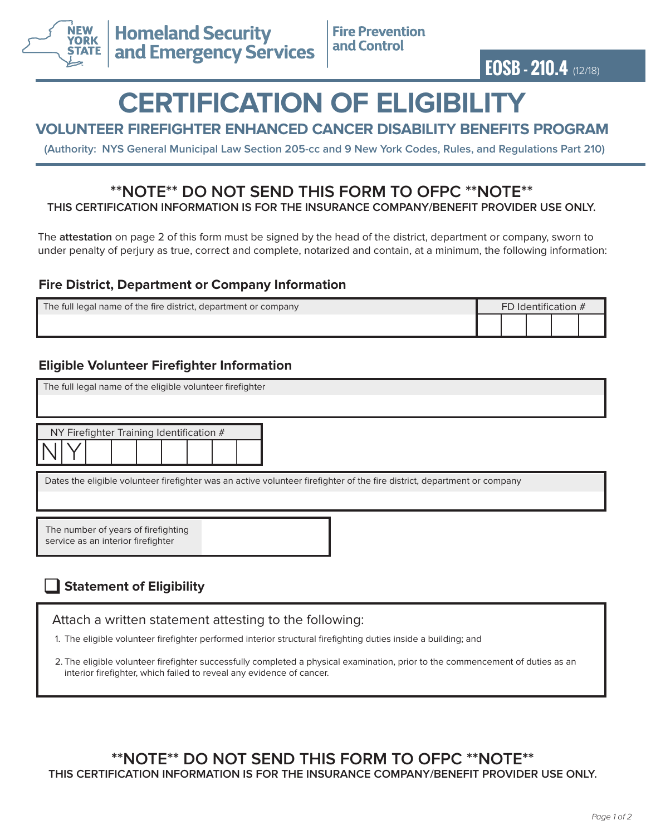

**EOSB - 210.4** (12/18)

# **CERTIFICATION OF ELIGIBILITY**

## **VOLUNTEER FIREFIGHTER ENHANCED CANCER DISABILITY BENEFITS PROGRAM**

**(Authority: NYS General Municipal Law Section 205-cc and 9 New York Codes, Rules, and Regulations Part 210)**

#### **\*\*NOTE\*\* DO NOT SEND THIS FORM TO OFPC \*\*NOTE\*\* THIS CERTIFICATION INFORMATION IS FOR THE INSURANCE COMPANY/BENEFIT PROVIDER USE ONLY.**

The **attestation** on page 2 of this form must be signed by the head of the district, department or company, sworn to under penalty of perjury as true, correct and complete, notarized and contain, at a minimum, the following information:

### **Fire District, Department or Company Information**

| The full legal name of the fire district, department or company | FD Identification $#$ |  |  |  |  |
|-----------------------------------------------------------------|-----------------------|--|--|--|--|
|                                                                 |                       |  |  |  |  |

## **Eligible Volunteer Firefighter Information**

| The full legal name of the eligible volunteer firefighter                                                                |  |  |  |  |  |
|--------------------------------------------------------------------------------------------------------------------------|--|--|--|--|--|
| NY Firefighter Training Identification #                                                                                 |  |  |  |  |  |
| Dates the eligible volunteer firefighter was an active volunteer firefighter of the fire district, department or company |  |  |  |  |  |
| The number of years of firefighting<br>service as an interior firefighter                                                |  |  |  |  |  |

# **Statement of Eligibility**

Attach a written statement attesting to the following:

1. The eligible volunteer firefighter performed interior structural firefighting duties inside a building; and

2. The eligible volunteer firefighter successfully completed a physical examination, prior to the commencement of duties as an interior firefighter, which failed to reveal any evidence of cancer.

**\*\*NOTE\*\* DO NOT SEND THIS FORM TO OFPC \*\*NOTE\*\* THIS CERTIFICATION INFORMATION IS FOR THE INSURANCE COMPANY/BENEFIT PROVIDER USE ONLY.**